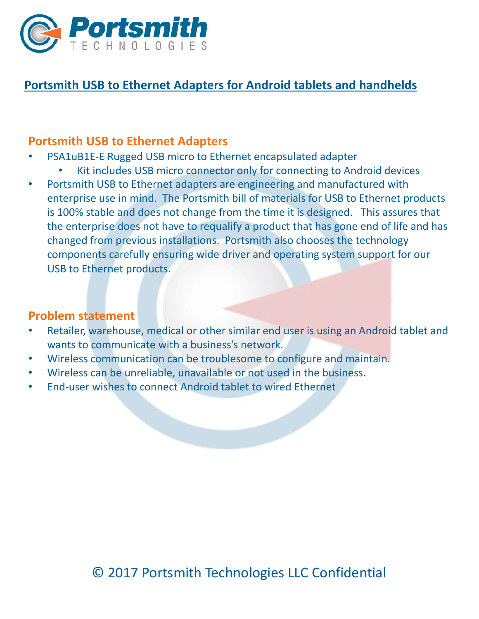

# **Portsmith USB to Ethernet Adapters for Android tablets and handhelds**

#### **Portsmith USB to Ethernet Adapters**

- PSA1uB1E-E Rugged USB micro to Ethernet encapsulated adapter
	- Kit includes USB micro connector only for connecting to Android devices
- Portsmith USB to Ethernet adapters are engineering and manufactured with enterprise use in mind. The Portsmith bill of materials for USB to Ethernet products is 100% stable and does not change from the time it is designed. This assures that the enterprise does not have to requalify a product that has gone end of life and has changed from previous installations. Portsmith also chooses the technology components carefully ensuring wide driver and operating system support for our USB to Ethernet products.

#### **Problem statement**

- Retailer, warehouse, medical or other similar end user is using an Android tablet and wants to communicate with a business's network.
- Wireless communication can be troublesome to configure and maintain.
- Wireless can be unreliable, unavailable or not used in the business.
- End-user wishes to connect Android tablet to wired Ethernet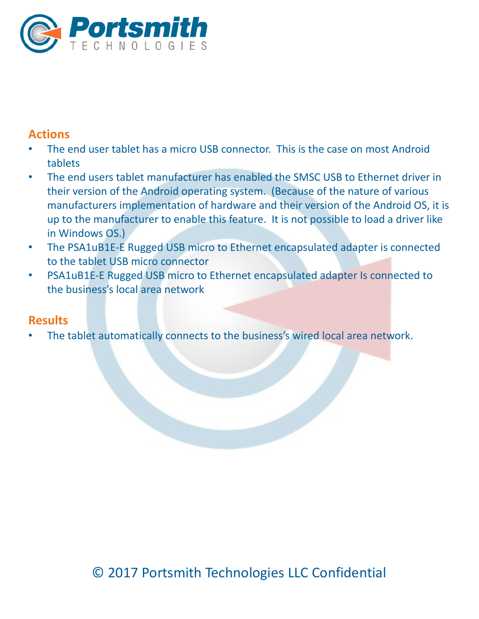

## **Actions**

- The end user tablet has a micro USB connector. This is the case on most Android tablets
- The end users tablet manufacturer has enabled the SMSC USB to Ethernet driver in their version of the Android operating system. (Because of the nature of various manufacturers implementation of hardware and their version of the Android OS, it is up to the manufacturer to enable this feature. It is not possible to load a driver like in Windows OS.)
- The PSA1uB1E-E Rugged USB micro to Ethernet encapsulated adapter is connected to the tablet USB micro connector
- PSA1uB1E-E Rugged USB micro to Ethernet encapsulated adapter Is connected to the business's local area network

### **Results**

The tablet automatically connects to the business's wired local area network.